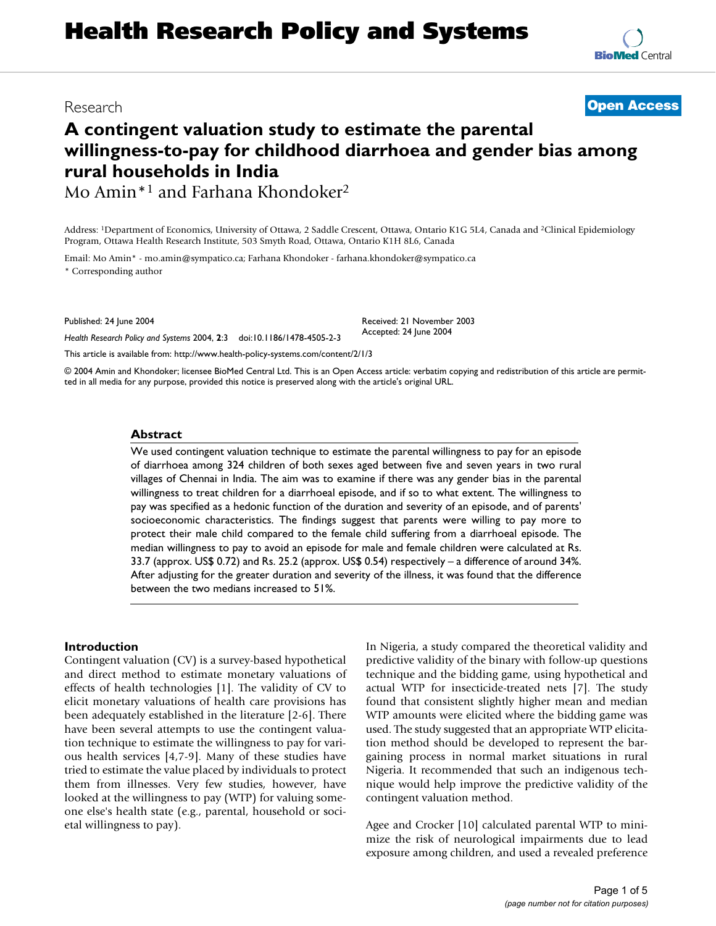# **Health Research Policy and Systems**

## Research **[Open Access](http://www.biomedcentral.com/info/about/charter/)**

## **A contingent valuation study to estimate the parental willingness-to-pay for childhood diarrhoea and gender bias among rural households in India**

Mo Amin\*1 and Farhana Khondoker2

Address: 1Department of Economics, University of Ottawa, 2 Saddle Crescent, Ottawa, Ontario K1G 5L4, Canada and 2Clinical Epidemiology Program, Ottawa Health Research Institute, 503 Smyth Road, Ottawa, Ontario K1H 8L6, Canada

Email: Mo Amin\* - mo.amin@sympatico.ca; Farhana Khondoker - farhana.khondoker@sympatico.ca \* Corresponding author

Published: 24 June 2004

*Health Research Policy and Systems* 2004, **2**:3 doi:10.1186/1478-4505-2-3

[This article is available from: http://www.health-policy-systems.com/content/2/1/3](http://www.health-policy-systems.com/content/2/1/3)

© 2004 Amin and Khondoker; licensee BioMed Central Ltd. This is an Open Access article: verbatim copying and redistribution of this article are permitted in all media for any purpose, provided this notice is preserved along with the article's original URL.

Received: 21 November 2003 Accepted: 24 June 2004

## **Abstract**

We used contingent valuation technique to estimate the parental willingness to pay for an episode of diarrhoea among 324 children of both sexes aged between five and seven years in two rural villages of Chennai in India. The aim was to examine if there was any gender bias in the parental willingness to treat children for a diarrhoeal episode, and if so to what extent. The willingness to pay was specified as a hedonic function of the duration and severity of an episode, and of parents' socioeconomic characteristics. The findings suggest that parents were willing to pay more to protect their male child compared to the female child suffering from a diarrhoeal episode. The median willingness to pay to avoid an episode for male and female children were calculated at Rs. 33.7 (approx. US\$ 0.72) and Rs. 25.2 (approx. US\$ 0.54) respectively – a difference of around 34%. After adjusting for the greater duration and severity of the illness, it was found that the difference between the two medians increased to 51%.

#### **Introduction**

Contingent valuation (CV) is a survey-based hypothetical and direct method to estimate monetary valuations of effects of health technologies [1]. The validity of CV to elicit monetary valuations of health care provisions has been adequately established in the literature [2-6]. There have been several attempts to use the contingent valuation technique to estimate the willingness to pay for various health services [4,7-[9](#page-4-0)]. Many of these studies have tried to estimate the value placed by individuals to protect them from illnesses. Very few studies, however, have looked at the willingness to pay (WTP) for valuing someone else's health state (e.g., parental, household or societal willingness to pay).

In Nigeria, a study compared the theoretical validity and predictive validity of the binary with follow-up questions technique and the bidding game, using hypothetical and actual WTP for insecticide-treated nets [7]. The study found that consistent slightly higher mean and median WTP amounts were elicited where the bidding game was used. The study suggested that an appropriate WTP elicitation method should be developed to represent the bargaining process in normal market situations in rural Nigeria. It recommended that such an indigenous technique would help improve the predictive validity of the contingent valuation method.

Agee and Crocker [10] calculated parental WTP to minimize the risk of neurological impairments due to lead exposure among children, and used a revealed preference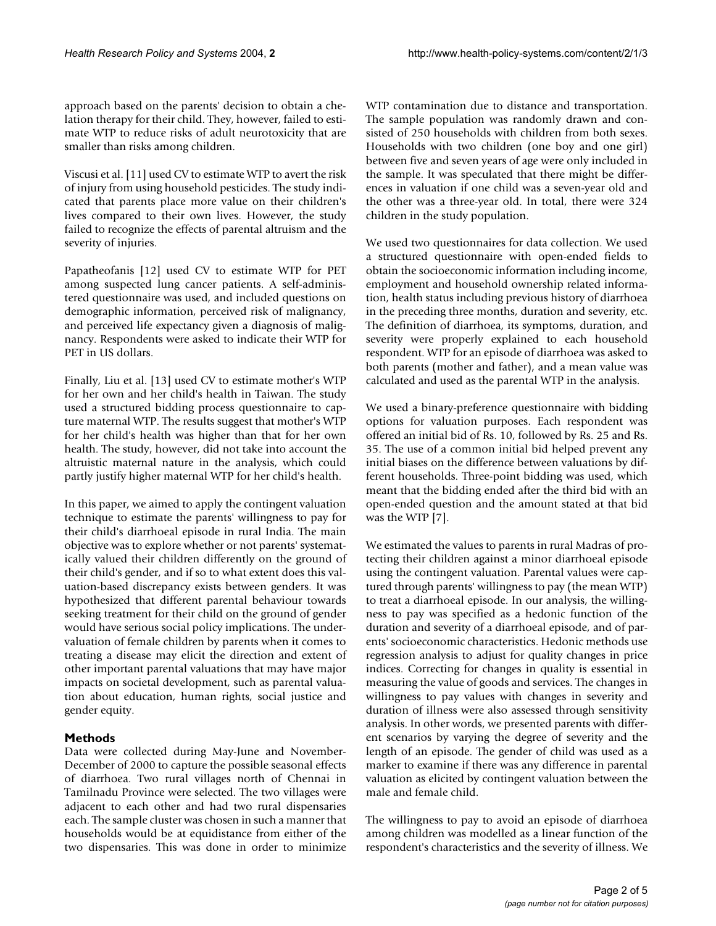approach based on the parents' decision to obtain a chelation therapy for their child. They, however, failed to estimate WTP to reduce risks of adult neurotoxicity that are smaller than risks among children.

Viscusi et al. [11] used CV to estimate WTP to avert the risk of injury from using household pesticides. The study indicated that parents place more value on their children's lives compared to their own lives. However, the study failed to recognize the effects of parental altruism and the severity of injuries.

Papatheofanis [12] used CV to estimate WTP for PET among suspected lung cancer patients. A self-administered questionnaire was used, and included questions on demographic information, perceived risk of malignancy, and perceived life expectancy given a diagnosis of malignancy. Respondents were asked to indicate their WTP for PET in US dollars.

Finally, Liu et al. [13] used CV to estimate mother's WTP for her own and her child's health in Taiwan. The study used a structured bidding process questionnaire to capture maternal WTP. The results suggest that mother's WTP for her child's health was higher than that for her own health. The study, however, did not take into account the altruistic maternal nature in the analysis, which could partly justify higher maternal WTP for her child's health.

In this paper, we aimed to apply the contingent valuation technique to estimate the parents' willingness to pay for their child's diarrhoeal episode in rural India. The main objective was to explore whether or not parents' systematically valued their children differently on the ground of their child's gender, and if so to what extent does this valuation-based discrepancy exists between genders. It was hypothesized that different parental behaviour towards seeking treatment for their child on the ground of gender would have serious social policy implications. The undervaluation of female children by parents when it comes to treating a disease may elicit the direction and extent of other important parental valuations that may have major impacts on societal development, such as parental valuation about education, human rights, social justice and gender equity.

## **Methods**

Data were collected during May-June and November-December of 2000 to capture the possible seasonal effects of diarrhoea. Two rural villages north of Chennai in Tamilnadu Province were selected. The two villages were adjacent to each other and had two rural dispensaries each. The sample cluster was chosen in such a manner that households would be at equidistance from either of the two dispensaries. This was done in order to minimize WTP contamination due to distance and transportation. The sample population was randomly drawn and consisted of 250 households with children from both sexes. Households with two children (one boy and one girl) between five and seven years of age were only included in the sample. It was speculated that there might be differences in valuation if one child was a seven-year old and the other was a three-year old. In total, there were 324 children in the study population.

We used two questionnaires for data collection. We used a structured questionnaire with open-ended fields to obtain the socioeconomic information including income, employment and household ownership related information, health status including previous history of diarrhoea in the preceding three months, duration and severity, etc. The definition of diarrhoea, its symptoms, duration, and severity were properly explained to each household respondent. WTP for an episode of diarrhoea was asked to both parents (mother and father), and a mean value was calculated and used as the parental WTP in the analysis.

We used a binary-preference questionnaire with bidding options for valuation purposes. Each respondent was offered an initial bid of Rs. 10, followed by Rs. 25 and Rs. 35. The use of a common initial bid helped prevent any initial biases on the difference between valuations by different households. Three-point bidding was used, which meant that the bidding ended after the third bid with an open-ended question and the amount stated at that bid was the WTP [7].

We estimated the values to parents in rural Madras of protecting their children against a minor diarrhoeal episode using the contingent valuation. Parental values were captured through parents' willingness to pay (the mean WTP) to treat a diarrhoeal episode. In our analysis, the willingness to pay was specified as a hedonic function of the duration and severity of a diarrhoeal episode, and of parents' socioeconomic characteristics. Hedonic methods use regression analysis to adjust for quality changes in price indices. Correcting for changes in quality is essential in measuring the value of goods and services. The changes in willingness to pay values with changes in severity and duration of illness were also assessed through sensitivity analysis. In other words, we presented parents with different scenarios by varying the degree of severity and the length of an episode. The gender of child was used as a marker to examine if there was any difference in parental valuation as elicited by contingent valuation between the male and female child.

The willingness to pay to avoid an episode of diarrhoea among children was modelled as a linear function of the respondent's characteristics and the severity of illness. We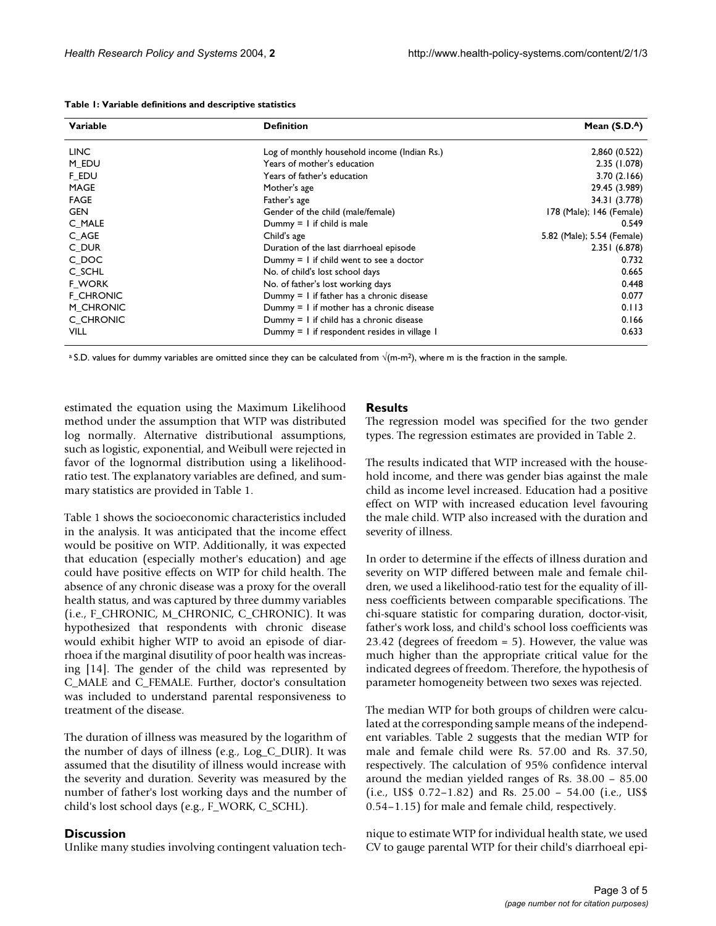| Variable    | <b>Definition</b>                              | Mean $(S.D.^A)$            |
|-------------|------------------------------------------------|----------------------------|
| <b>LINC</b> | Log of monthly household income (Indian Rs.)   | 2,860 (0.522)              |
| M EDU       | Years of mother's education                    | 2.35 (1.078)               |
| F EDU       | Years of father's education                    | 3.70(2.166)                |
| <b>MAGE</b> | Mother's age                                   | 29.45 (3.989)              |
| <b>FAGE</b> | Father's age                                   | 34.31 (3.778)              |
| <b>GEN</b>  | Gender of the child (male/female)              | 178 (Male); 146 (Female)   |
| C MALE      | Dummy $= 1$ if child is male                   | 0.549                      |
| C AGE       | Child's age                                    | 5.82 (Male); 5.54 (Female) |
| C DUR       | Duration of the last diarrhoeal episode        | 2.351 (6.878)              |
| C DOC       | Dummy $= 1$ if child went to see a doctor      | 0.732                      |
| C SCHL      | No. of child's lost school days                | 0.665                      |
| F WORK      | No. of father's lost working days              | 0.448                      |
| F CHRONIC   | Dummy $= 1$ if father has a chronic disease    | 0.077                      |
| M CHRONIC   | Dummy $= 1$ if mother has a chronic disease    | 0.113                      |
| C CHRONIC   | Dummy = 1 if child has a chronic disease       | 0.166                      |
| <b>VILL</b> | Dummy $= 1$ if respondent resides in village 1 | 0.633                      |

<span id="page-2-0"></span>**Table 1: Variable definitions and descriptive statistics**

a S.D. values for dummy variables are omitted since they can be calculated from √(m-m<sup>2</sup>), where m is the fraction in the sample.

estimated the equation using the Maximum Likelihood method under the assumption that WTP was distributed log normally. Alternative distributional assumptions, such as logistic, exponential, and Weibull were rejected in favor of the lognormal distribution using a likelihoodratio test. The explanatory variables are defined, and summary statistics are provided in Table [1](#page-2-0).

Table [1](#page-2-0) shows the socioeconomic characteristics included in the analysis. It was anticipated that the income effect would be positive on WTP. Additionally, it was expected that education (especially mother's education) and age could have positive effects on WTP for child health. The absence of any chronic disease was a proxy for the overall health status, and was captured by three dummy variables (i.e., F\_CHRONIC, M\_CHRONIC, C\_CHRONIC). It was hypothesized that respondents with chronic disease would exhibit higher WTP to avoid an episode of diarrhoea if the marginal disutility of poor health was increasing [14]. The gender of the child was represented by C\_MALE and C\_FEMALE. Further, doctor's consultation was included to understand parental responsiveness to treatment of the disease.

The duration of illness was measured by the logarithm of the number of days of illness (e.g., Log\_C\_DUR). It was assumed that the disutility of illness would increase with the severity and duration. Severity was measured by the number of father's lost working days and the number of child's lost school days (e.g., F\_WORK, C\_SCHL).

## **Discussion**

Unlike many studies involving contingent valuation tech-

## **Results**

The regression model was specified for the two gender types. The regression estimates are provided in Table [2.](#page-3-0)

The results indicated that WTP increased with the household income, and there was gender bias against the male child as income level increased. Education had a positive effect on WTP with increased education level favouring the male child. WTP also increased with the duration and severity of illness.

In order to determine if the effects of illness duration and severity on WTP differed between male and female children, we used a likelihood-ratio test for the equality of illness coefficients between comparable specifications. The chi-square statistic for comparing duration, doctor-visit, father's work loss, and child's school loss coefficients was 23.42 (degrees of freedom = 5). However, the value was much higher than the appropriate critical value for the indicated degrees of freedom. Therefore, the hypothesis of parameter homogeneity between two sexes was rejected.

The median WTP for both groups of children were calculated at the corresponding sample means of the independent variables. Table [2](#page-3-0) suggests that the median WTP for male and female child were Rs. 57.00 and Rs. 37.50, respectively. The calculation of 95% confidence interval around the median yielded ranges of Rs. 38.00 – 85.00 (i.e., US\$ 0.72–1.82) and Rs. 25.00 – 54.00 (i.e., US\$ 0.54–1.15) for male and female child, respectively.

nique to estimate WTP for individual health state, we used CV to gauge parental WTP for their child's diarrhoeal epi-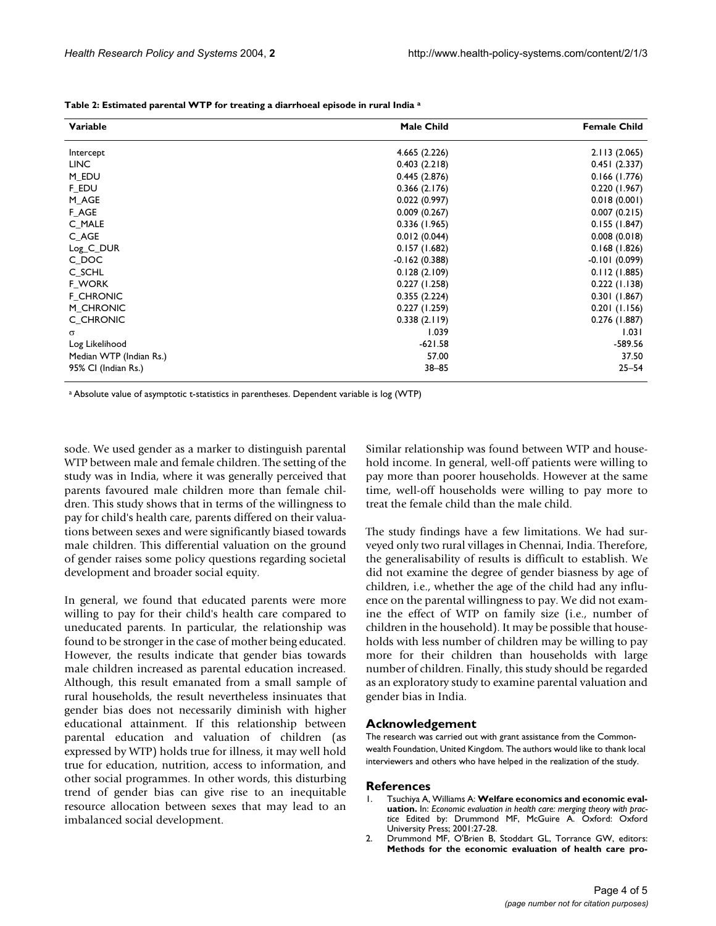<span id="page-3-0"></span>

|  |  |  | Table 2: Estimated parental WTP for treating a diarrhoeal episode in rural India a |  |
|--|--|--|------------------------------------------------------------------------------------|--|
|--|--|--|------------------------------------------------------------------------------------|--|

| Variable                | <b>Male Child</b> | <b>Female Child</b> |
|-------------------------|-------------------|---------------------|
| Intercept               | 4.665(2.226)      | 2.113(2.065)        |
| <b>LINC</b>             | 0.403(2.218)      | 0.451(2.337)        |
| M_EDU                   | 0.445(2.876)      | 0.166(1.776)        |
| F_EDU                   | 0.366(2.176)      | 0.220(1.967)        |
| M_AGE                   | 0.022(0.997)      | 0.018(0.001)        |
| F_AGE                   | 0.009(0.267)      | 0.007(0.215)        |
| C_MALE                  | 0.336(1.965)      | 0.155(1.847)        |
| C_AGE                   | 0.012(0.044)      | 0.008(0.018)        |
| Log_C_DUR               | 0.157(1.682)      | 0.168(1.826)        |
| C_DOC                   | $-0.162(0.388)$   | $-0.101(0.099)$     |
| C_SCHL                  | 0.128(2.109)      | 0.112(1.885)        |
| F WORK                  | 0.227(1.258)      | 0.222(1.138)        |
| F CHRONIC               | 0.355(2.224)      | 0.301(1.867)        |
| M_CHRONIC               | 0.227(1.259)      | 0.201(1.156)        |
| <b>C_CHRONIC</b>        | 0.338(2.119)      | 0.276(1.887)        |
| $\sigma$                | 1.039             | 1.031               |
| Log Likelihood          | $-621.58$         | -589.56             |
| Median WTP (Indian Rs.) | 57.00             | 37.50               |
| 95% CI (Indian Rs.)     | $38 - 85$         | $25 - 54$           |

a Absolute value of asymptotic t-statistics in parentheses. Dependent variable is log (WTP)

sode. We used gender as a marker to distinguish parental WTP between male and female children. The setting of the study was in India, where it was generally perceived that parents favoured male children more than female children. This study shows that in terms of the willingness to pay for child's health care, parents differed on their valuations between sexes and were significantly biased towards male children. This differential valuation on the ground of gender raises some policy questions regarding societal development and broader social equity.

In general, we found that educated parents were more willing to pay for their child's health care compared to uneducated parents. In particular, the relationship was found to be stronger in the case of mother being educated. However, the results indicate that gender bias towards male children increased as parental education increased. Although, this result emanated from a small sample of rural households, the result nevertheless insinuates that gender bias does not necessarily diminish with higher educational attainment. If this relationship between parental education and valuation of children (as expressed by WTP) holds true for illness, it may well hold true for education, nutrition, access to information, and other social programmes. In other words, this disturbing trend of gender bias can give rise to an inequitable resource allocation between sexes that may lead to an imbalanced social development.

Similar relationship was found between WTP and household income. In general, well-off patients were willing to pay more than poorer households. However at the same time, well-off households were willing to pay more to treat the female child than the male child.

The study findings have a few limitations. We had surveyed only two rural villages in Chennai, India. Therefore, the generalisability of results is difficult to establish. We did not examine the degree of gender biasness by age of children, i.e., whether the age of the child had any influence on the parental willingness to pay. We did not examine the effect of WTP on family size (i.e., number of children in the household). It may be possible that households with less number of children may be willing to pay more for their children than households with large number of children. Finally, this study should be regarded as an exploratory study to examine parental valuation and gender bias in India.

## **Acknowledgement**

The research was carried out with grant assistance from the Commonwealth Foundation, United Kingdom. The authors would like to thank local interviewers and others who have helped in the realization of the study.

#### **References**

- 1. Tsuchiya A, Williams A: **Welfare economics and economic evaluation.** In: *Economic evaluation in health care: merging theory with practice* Edited by: Drummond MF, McGuire A. Oxford: Oxford University Press; 2001:27-28.
- 2. Drummond MF, O'Brien B, Stoddart GL, Torrance GW, editors: **Methods for the economic evaluation of health care pro-**